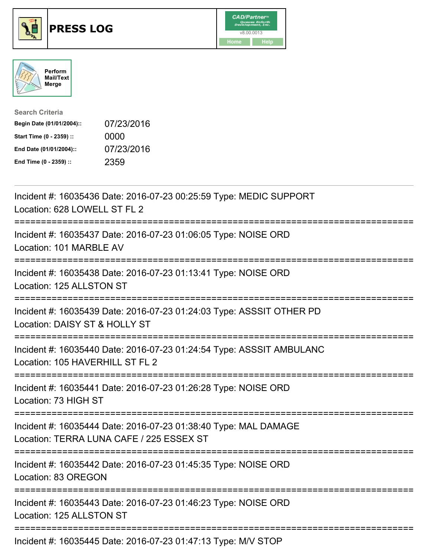





| <b>Search Criteria</b>    |            |
|---------------------------|------------|
| Begin Date (01/01/2004):: | 07/23/2016 |
| Start Time (0 - 2359) ::  | 0000       |
| End Date (01/01/2004)::   | 07/23/2016 |
| End Time (0 - 2359) ::    | 2359       |

| Incident #: 16035436 Date: 2016-07-23 00:25:59 Type: MEDIC SUPPORT<br>Location: 628 LOWELL ST FL 2                                           |
|----------------------------------------------------------------------------------------------------------------------------------------------|
| Incident #: 16035437 Date: 2016-07-23 01:06:05 Type: NOISE ORD<br>Location: 101 MARBLE AV                                                    |
| Incident #: 16035438 Date: 2016-07-23 01:13:41 Type: NOISE ORD<br>Location: 125 ALLSTON ST                                                   |
| Incident #: 16035439 Date: 2016-07-23 01:24:03 Type: ASSSIT OTHER PD<br>Location: DAISY ST & HOLLY ST                                        |
| Incident #: 16035440 Date: 2016-07-23 01:24:54 Type: ASSSIT AMBULANC<br>Location: 105 HAVERHILL ST FL 2                                      |
| Incident #: 16035441 Date: 2016-07-23 01:26:28 Type: NOISE ORD<br>Location: 73 HIGH ST<br>------------------                                 |
| Incident #: 16035444 Date: 2016-07-23 01:38:40 Type: MAL DAMAGE<br>Location: TERRA LUNA CAFE / 225 ESSEX ST<br>----------------------------- |
| Incident #: 16035442 Date: 2016-07-23 01:45:35 Type: NOISE ORD<br>Location: 83 OREGON<br>----------------------                              |
| Incident #: 16035443 Date: 2016-07-23 01:46:23 Type: NOISE ORD<br>Location: 125 ALLSTON ST                                                   |
| Incident #: 16035445 Date: 2016-07-23 01:47:13 Type: M/V STOP                                                                                |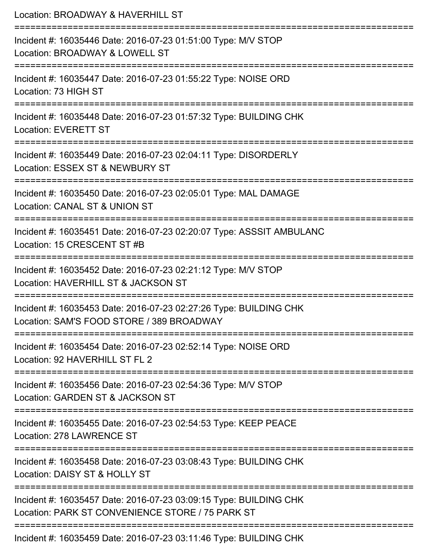| Location: BROADWAY & HAVERHILL ST                                                                                               |
|---------------------------------------------------------------------------------------------------------------------------------|
| Incident #: 16035446 Date: 2016-07-23 01:51:00 Type: M/V STOP<br>Location: BROADWAY & LOWELL ST<br>;=========================   |
| Incident #: 16035447 Date: 2016-07-23 01:55:22 Type: NOISE ORD<br>Location: 73 HIGH ST                                          |
| Incident #: 16035448 Date: 2016-07-23 01:57:32 Type: BUILDING CHK<br><b>Location: EVERETT ST</b>                                |
| Incident #: 16035449 Date: 2016-07-23 02:04:11 Type: DISORDERLY<br>Location: ESSEX ST & NEWBURY ST                              |
| Incident #: 16035450 Date: 2016-07-23 02:05:01 Type: MAL DAMAGE<br>Location: CANAL ST & UNION ST                                |
| Incident #: 16035451 Date: 2016-07-23 02:20:07 Type: ASSSIT AMBULANC<br>Location: 15 CRESCENT ST #B                             |
| Incident #: 16035452 Date: 2016-07-23 02:21:12 Type: M/V STOP<br>Location: HAVERHILL ST & JACKSON ST<br>:====================== |
| Incident #: 16035453 Date: 2016-07-23 02:27:26 Type: BUILDING CHK<br>Location: SAM'S FOOD STORE / 389 BROADWAY                  |
| Incident #: 16035454 Date: 2016-07-23 02:52:14 Type: NOISE ORD<br>Location: 92 HAVERHILL ST FL 2                                |
| Incident #: 16035456 Date: 2016-07-23 02:54:36 Type: M/V STOP<br>Location: GARDEN ST & JACKSON ST                               |
| Incident #: 16035455 Date: 2016-07-23 02:54:53 Type: KEEP PEACE<br>Location: 278 LAWRENCE ST                                    |
| Incident #: 16035458 Date: 2016-07-23 03:08:43 Type: BUILDING CHK<br>Location: DAISY ST & HOLLY ST                              |
| Incident #: 16035457 Date: 2016-07-23 03:09:15 Type: BUILDING CHK<br>Location: PARK ST CONVENIENCE STORE / 75 PARK ST           |
| Incident #: 16035459 Date: 2016-07-23 03:11:46 Type: BUILDING CHK                                                               |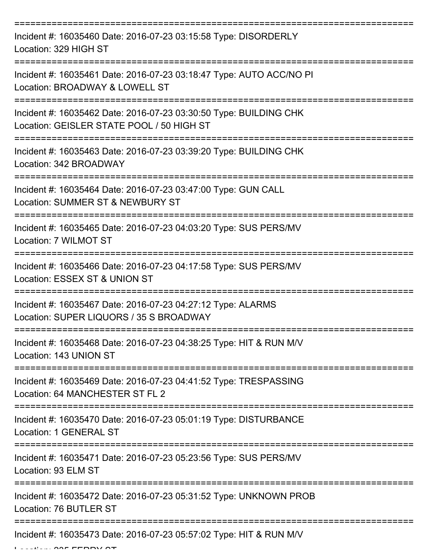| Incident #: 16035460 Date: 2016-07-23 03:15:58 Type: DISORDERLY<br>Location: 329 HIGH ST                       |
|----------------------------------------------------------------------------------------------------------------|
| Incident #: 16035461 Date: 2016-07-23 03:18:47 Type: AUTO ACC/NO PI<br>Location: BROADWAY & LOWELL ST          |
| Incident #: 16035462 Date: 2016-07-23 03:30:50 Type: BUILDING CHK<br>Location: GEISLER STATE POOL / 50 HIGH ST |
| Incident #: 16035463 Date: 2016-07-23 03:39:20 Type: BUILDING CHK<br>Location: 342 BROADWAY                    |
| Incident #: 16035464 Date: 2016-07-23 03:47:00 Type: GUN CALL<br>Location: SUMMER ST & NEWBURY ST              |
| Incident #: 16035465 Date: 2016-07-23 04:03:20 Type: SUS PERS/MV<br>Location: 7 WILMOT ST                      |
| Incident #: 16035466 Date: 2016-07-23 04:17:58 Type: SUS PERS/MV<br>Location: ESSEX ST & UNION ST              |
| Incident #: 16035467 Date: 2016-07-23 04:27:12 Type: ALARMS<br>Location: SUPER LIQUORS / 35 S BROADWAY         |
| Incident #: 16035468 Date: 2016-07-23 04:38:25 Type: HIT & RUN M/V<br>Location: 143 UNION ST                   |
| Incident #: 16035469 Date: 2016-07-23 04:41:52 Type: TRESPASSING<br>Location: 64 MANCHESTER ST FL 2            |
| Incident #: 16035470 Date: 2016-07-23 05:01:19 Type: DISTURBANCE<br>Location: 1 GENERAL ST                     |
| Incident #: 16035471 Date: 2016-07-23 05:23:56 Type: SUS PERS/MV<br>Location: 93 ELM ST                        |
| Incident #: 16035472 Date: 2016-07-23 05:31:52 Type: UNKNOWN PROB<br>Location: 76 BUTLER ST                    |
| Incident #: 16035473 Date: 2016-07-23 05:57:02 Type: HIT & RUN M/V                                             |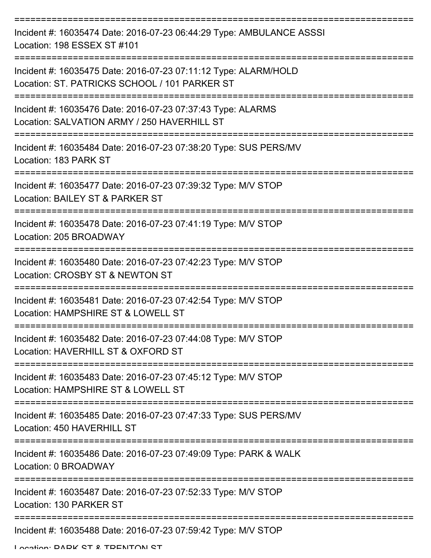| Incident #: 16035474 Date: 2016-07-23 06:44:29 Type: AMBULANCE ASSSI<br>Location: 198 ESSEX ST #101              |
|------------------------------------------------------------------------------------------------------------------|
| Incident #: 16035475 Date: 2016-07-23 07:11:12 Type: ALARM/HOLD<br>Location: ST. PATRICKS SCHOOL / 101 PARKER ST |
| Incident #: 16035476 Date: 2016-07-23 07:37:43 Type: ALARMS<br>Location: SALVATION ARMY / 250 HAVERHILL ST       |
| Incident #: 16035484 Date: 2016-07-23 07:38:20 Type: SUS PERS/MV<br>Location: 183 PARK ST                        |
| Incident #: 16035477 Date: 2016-07-23 07:39:32 Type: M/V STOP<br>Location: BAILEY ST & PARKER ST                 |
| Incident #: 16035478 Date: 2016-07-23 07:41:19 Type: M/V STOP<br>Location: 205 BROADWAY                          |
| Incident #: 16035480 Date: 2016-07-23 07:42:23 Type: M/V STOP<br>Location: CROSBY ST & NEWTON ST                 |
| Incident #: 16035481 Date: 2016-07-23 07:42:54 Type: M/V STOP<br>Location: HAMPSHIRE ST & LOWELL ST              |
| Incident #: 16035482 Date: 2016-07-23 07:44:08 Type: M/V STOP<br>Location: HAVERHILL ST & OXFORD ST              |
| Incident #: 16035483 Date: 2016-07-23 07:45:12 Type: M/V STOP<br>Location: HAMPSHIRE ST & LOWELL ST              |
| Incident #: 16035485 Date: 2016-07-23 07:47:33 Type: SUS PERS/MV<br>Location: 450 HAVERHILL ST                   |
| Incident #: 16035486 Date: 2016-07-23 07:49:09 Type: PARK & WALK<br>Location: 0 BROADWAY                         |
| Incident #: 16035487 Date: 2016-07-23 07:52:33 Type: M/V STOP<br>Location: 130 PARKER ST                         |
| Incident #: 16035488 Date: 2016-07-23 07:59:42 Type: M/V STOP                                                    |

Location: DADK CT & TDENITON CT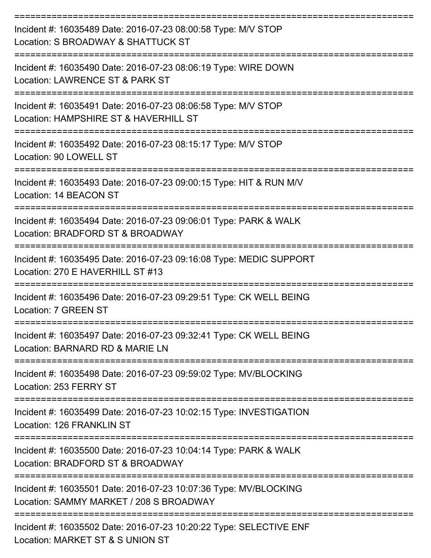| Incident #: 16035489 Date: 2016-07-23 08:00:58 Type: M/V STOP<br>Location: S BROADWAY & SHATTUCK ST<br>:========================== |
|------------------------------------------------------------------------------------------------------------------------------------|
| Incident #: 16035490 Date: 2016-07-23 08:06:19 Type: WIRE DOWN<br>Location: LAWRENCE ST & PARK ST                                  |
| Incident #: 16035491 Date: 2016-07-23 08:06:58 Type: M/V STOP<br>Location: HAMPSHIRE ST & HAVERHILL ST<br>----------------         |
| Incident #: 16035492 Date: 2016-07-23 08:15:17 Type: M/V STOP<br>Location: 90 LOWELL ST                                            |
| Incident #: 16035493 Date: 2016-07-23 09:00:15 Type: HIT & RUN M/V<br>Location: 14 BEACON ST                                       |
| Incident #: 16035494 Date: 2016-07-23 09:06:01 Type: PARK & WALK<br>Location: BRADFORD ST & BROADWAY                               |
| Incident #: 16035495 Date: 2016-07-23 09:16:08 Type: MEDIC SUPPORT<br>Location: 270 E HAVERHILL ST #13                             |
| Incident #: 16035496 Date: 2016-07-23 09:29:51 Type: CK WELL BEING<br>Location: 7 GREEN ST                                         |
| Incident #: 16035497 Date: 2016-07-23 09:32:41 Type: CK WELL BEING<br>Location: BARNARD RD & MARIE LN                              |
| Incident #: 16035498 Date: 2016-07-23 09:59:02 Type: MV/BLOCKING<br>Location: 253 FERRY ST                                         |
| Incident #: 16035499 Date: 2016-07-23 10:02:15 Type: INVESTIGATION<br>Location: 126 FRANKLIN ST                                    |
| Incident #: 16035500 Date: 2016-07-23 10:04:14 Type: PARK & WALK<br>Location: BRADFORD ST & BROADWAY                               |
| Incident #: 16035501 Date: 2016-07-23 10:07:36 Type: MV/BLOCKING<br>Location: SAMMY MARKET / 208 S BROADWAY                        |
| Incident #: 16035502 Date: 2016-07-23 10:20:22 Type: SELECTIVE ENF<br>Location: MARKET ST & S UNION ST                             |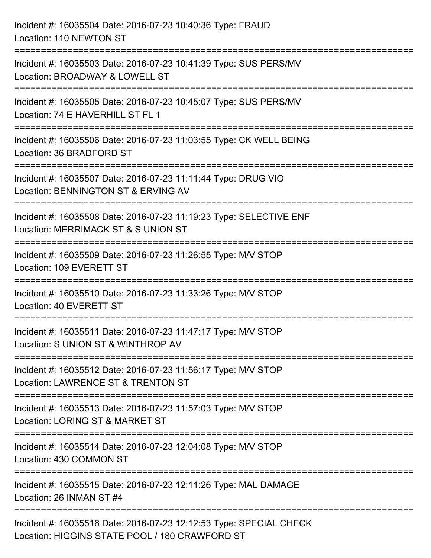| Incident #: 16035504 Date: 2016-07-23 10:40:36 Type: FRAUD<br>Location: 110 NEWTON ST                                                         |
|-----------------------------------------------------------------------------------------------------------------------------------------------|
| Incident #: 16035503 Date: 2016-07-23 10:41:39 Type: SUS PERS/MV<br>Location: BROADWAY & LOWELL ST                                            |
| Incident #: 16035505 Date: 2016-07-23 10:45:07 Type: SUS PERS/MV<br>Location: 74 E HAVERHILL ST FL 1<br>;==================================== |
| Incident #: 16035506 Date: 2016-07-23 11:03:55 Type: CK WELL BEING<br>Location: 36 BRADFORD ST                                                |
| Incident #: 16035507 Date: 2016-07-23 11:11:44 Type: DRUG VIO<br>Location: BENNINGTON ST & ERVING AV<br>=====================                 |
| Incident #: 16035508 Date: 2016-07-23 11:19:23 Type: SELECTIVE ENF<br>Location: MERRIMACK ST & S UNION ST                                     |
| Incident #: 16035509 Date: 2016-07-23 11:26:55 Type: M/V STOP<br>Location: 109 EVERETT ST                                                     |
| Incident #: 16035510 Date: 2016-07-23 11:33:26 Type: M/V STOP<br>Location: 40 EVERETT ST                                                      |
| Incident #: 16035511 Date: 2016-07-23 11:47:17 Type: M/V STOP<br>Location: S UNION ST & WINTHROP AV                                           |
| Incident #: 16035512 Date: 2016-07-23 11:56:17 Type: M/V STOP<br>Location: LAWRENCE ST & TRENTON ST                                           |
| Incident #: 16035513 Date: 2016-07-23 11:57:03 Type: M/V STOP<br>Location: LORING ST & MARKET ST                                              |
| Incident #: 16035514 Date: 2016-07-23 12:04:08 Type: M/V STOP<br>Location: 430 COMMON ST                                                      |
| Incident #: 16035515 Date: 2016-07-23 12:11:26 Type: MAL DAMAGE<br>Location: 26 INMAN ST #4                                                   |
| Incident #: 16035516 Date: 2016-07-23 12:12:53 Type: SPECIAL CHECK<br>Location: HIGGINS STATE POOL / 180 CRAWFORD ST                          |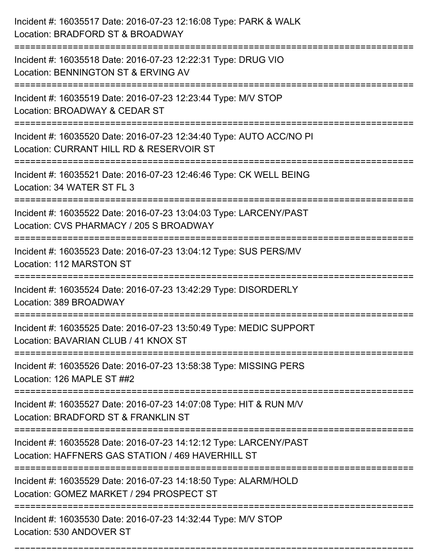| Incident #: 16035517 Date: 2016-07-23 12:16:08 Type: PARK & WALK<br>Location: BRADFORD ST & BROADWAY                                    |
|-----------------------------------------------------------------------------------------------------------------------------------------|
| Incident #: 16035518 Date: 2016-07-23 12:22:31 Type: DRUG VIO<br>Location: BENNINGTON ST & ERVING AV                                    |
| Incident #: 16035519 Date: 2016-07-23 12:23:44 Type: M/V STOP<br>Location: BROADWAY & CEDAR ST                                          |
| Incident #: 16035520 Date: 2016-07-23 12:34:40 Type: AUTO ACC/NO PI<br>Location: CURRANT HILL RD & RESERVOIR ST                         |
| Incident #: 16035521 Date: 2016-07-23 12:46:46 Type: CK WELL BEING<br>Location: 34 WATER ST FL 3                                        |
| Incident #: 16035522 Date: 2016-07-23 13:04:03 Type: LARCENY/PAST<br>Location: CVS PHARMACY / 205 S BROADWAY                            |
| Incident #: 16035523 Date: 2016-07-23 13:04:12 Type: SUS PERS/MV<br>Location: 112 MARSTON ST<br>================                        |
| Incident #: 16035524 Date: 2016-07-23 13:42:29 Type: DISORDERLY<br>Location: 389 BROADWAY                                               |
| Incident #: 16035525 Date: 2016-07-23 13:50:49 Type: MEDIC SUPPORT<br>Location: BAVARIAN CLUB / 41 KNOX ST                              |
| Incident #: 16035526 Date: 2016-07-23 13:58:38 Type: MISSING PERS<br>Location: 126 MAPLE ST ##2<br>------------------------------------ |
| Incident #: 16035527 Date: 2016-07-23 14:07:08 Type: HIT & RUN M/V<br>Location: BRADFORD ST & FRANKLIN ST                               |
| Incident #: 16035528 Date: 2016-07-23 14:12:12 Type: LARCENY/PAST<br>Location: HAFFNERS GAS STATION / 469 HAVERHILL ST                  |
| Incident #: 16035529 Date: 2016-07-23 14:18:50 Type: ALARM/HOLD<br>Location: GOMEZ MARKET / 294 PROSPECT ST                             |
| Incident #: 16035530 Date: 2016-07-23 14:32:44 Type: M/V STOP<br>Location: 530 ANDOVER ST                                               |

===========================================================================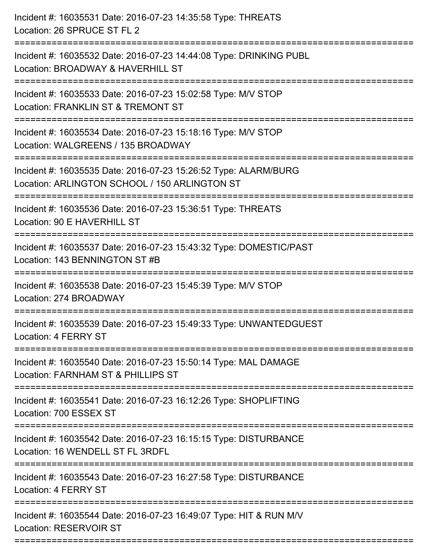| Incident #: 16035531 Date: 2016-07-23 14:35:58 Type: THREATS<br>Location: 26 SPRUCE ST FL 2                                                       |
|---------------------------------------------------------------------------------------------------------------------------------------------------|
| Incident #: 16035532 Date: 2016-07-23 14:44:08 Type: DRINKING PUBL<br>Location: BROADWAY & HAVERHILL ST                                           |
| Incident #: 16035533 Date: 2016-07-23 15:02:58 Type: M/V STOP<br>Location: FRANKLIN ST & TREMONT ST<br>======================                     |
| Incident #: 16035534 Date: 2016-07-23 15:18:16 Type: M/V STOP<br>Location: WALGREENS / 135 BROADWAY                                               |
| Incident #: 16035535 Date: 2016-07-23 15:26:52 Type: ALARM/BURG<br>Location: ARLINGTON SCHOOL / 150 ARLINGTON ST<br>----------------------------- |
| Incident #: 16035536 Date: 2016-07-23 15:36:51 Type: THREATS<br>Location: 90 E HAVERHILL ST                                                       |
| Incident #: 16035537 Date: 2016-07-23 15:43:32 Type: DOMESTIC/PAST<br>Location: 143 BENNINGTON ST #B                                              |
| Incident #: 16035538 Date: 2016-07-23 15:45:39 Type: M/V STOP<br>Location: 274 BROADWAY                                                           |
| Incident #: 16035539 Date: 2016-07-23 15:49:33 Type: UNWANTEDGUEST<br>Location: 4 FERRY ST                                                        |
| Incident #: 16035540 Date: 2016-07-23 15:50:14 Type: MAL DAMAGE<br>Location: FARNHAM ST & PHILLIPS ST                                             |
| Incident #: 16035541 Date: 2016-07-23 16:12:26 Type: SHOPLIFTING<br>Location: 700 ESSEX ST                                                        |
| Incident #: 16035542 Date: 2016-07-23 16:15:15 Type: DISTURBANCE<br>Location: 16 WENDELL ST FL 3RDFL                                              |
| Incident #: 16035543 Date: 2016-07-23 16:27:58 Type: DISTURBANCE<br>Location: 4 FERRY ST                                                          |
| Incident #: 16035544 Date: 2016-07-23 16:49:07 Type: HIT & RUN M/V<br><b>Location: RESERVOIR ST</b>                                               |
|                                                                                                                                                   |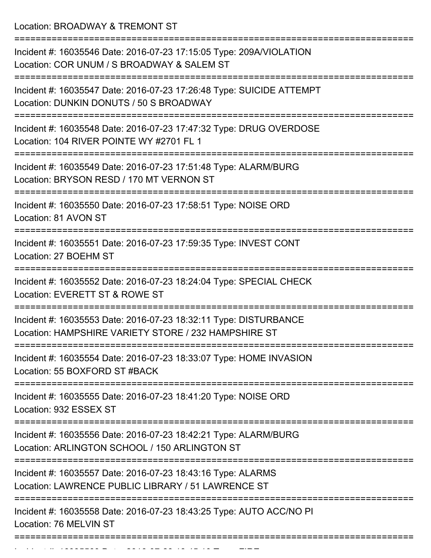Location: BROADWAY & TREMONT ST

| Incident #: 16035546 Date: 2016-07-23 17:15:05 Type: 209A/VIOLATION<br>Location: COR UNUM / S BROADWAY & SALEM ST        |
|--------------------------------------------------------------------------------------------------------------------------|
| Incident #: 16035547 Date: 2016-07-23 17:26:48 Type: SUICIDE ATTEMPT<br>Location: DUNKIN DONUTS / 50 S BROADWAY          |
| Incident #: 16035548 Date: 2016-07-23 17:47:32 Type: DRUG OVERDOSE<br>Location: 104 RIVER POINTE WY #2701 FL 1           |
| Incident #: 16035549 Date: 2016-07-23 17:51:48 Type: ALARM/BURG<br>Location: BRYSON RESD / 170 MT VERNON ST              |
| Incident #: 16035550 Date: 2016-07-23 17:58:51 Type: NOISE ORD<br>Location: 81 AVON ST                                   |
| Incident #: 16035551 Date: 2016-07-23 17:59:35 Type: INVEST CONT<br>Location: 27 BOEHM ST                                |
| Incident #: 16035552 Date: 2016-07-23 18:24:04 Type: SPECIAL CHECK<br>Location: EVERETT ST & ROWE ST                     |
| Incident #: 16035553 Date: 2016-07-23 18:32:11 Type: DISTURBANCE<br>Location: HAMPSHIRE VARIETY STORE / 232 HAMPSHIRE ST |
| Incident #: 16035554 Date: 2016-07-23 18:33:07 Type: HOME INVASION<br>Location: 55 BOXFORD ST #BACK                      |
| Incident #: 16035555 Date: 2016-07-23 18:41:20 Type: NOISE ORD<br>Location: 932 ESSEX ST                                 |
| Incident #: 16035556 Date: 2016-07-23 18:42:21 Type: ALARM/BURG<br>Location: ARLINGTON SCHOOL / 150 ARLINGTON ST         |
| Incident #: 16035557 Date: 2016-07-23 18:43:16 Type: ALARMS<br>Location: LAWRENCE PUBLIC LIBRARY / 51 LAWRENCE ST        |
| Incident #: 16035558 Date: 2016-07-23 18:43:25 Type: AUTO ACC/NO PI<br>Location: 76 MELVIN ST                            |
|                                                                                                                          |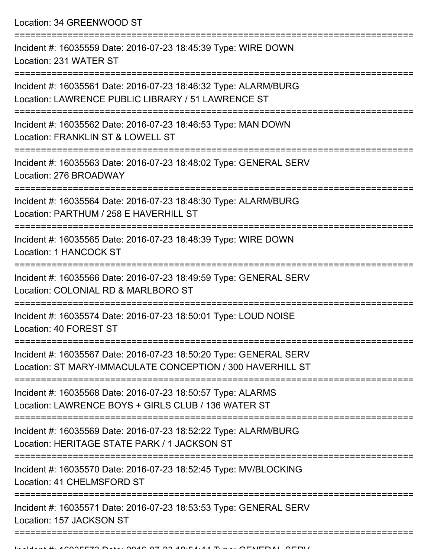Location: 34 GREENWOOD ST

| Incident #: 16035559 Date: 2016-07-23 18:45:39 Type: WIRE DOWN<br>Location: 231 WATER ST                                        |
|---------------------------------------------------------------------------------------------------------------------------------|
| Incident #: 16035561 Date: 2016-07-23 18:46:32 Type: ALARM/BURG<br>Location: LAWRENCE PUBLIC LIBRARY / 51 LAWRENCE ST           |
| Incident #: 16035562 Date: 2016-07-23 18:46:53 Type: MAN DOWN<br>Location: FRANKLIN ST & LOWELL ST                              |
| Incident #: 16035563 Date: 2016-07-23 18:48:02 Type: GENERAL SERV<br>Location: 276 BROADWAY                                     |
| Incident #: 16035564 Date: 2016-07-23 18:48:30 Type: ALARM/BURG<br>Location: PARTHUM / 258 E HAVERHILL ST                       |
| Incident #: 16035565 Date: 2016-07-23 18:48:39 Type: WIRE DOWN<br>Location: 1 HANCOCK ST                                        |
| Incident #: 16035566 Date: 2016-07-23 18:49:59 Type: GENERAL SERV<br>Location: COLONIAL RD & MARLBORO ST                        |
| Incident #: 16035574 Date: 2016-07-23 18:50:01 Type: LOUD NOISE<br>Location: 40 FOREST ST                                       |
| Incident #: 16035567 Date: 2016-07-23 18:50:20 Type: GENERAL SERV<br>Location: ST MARY-IMMACULATE CONCEPTION / 300 HAVERHILL ST |
| Incident #: 16035568 Date: 2016-07-23 18:50:57 Type: ALARMS<br>Location: LAWRENCE BOYS + GIRLS CLUB / 136 WATER ST              |
| Incident #: 16035569 Date: 2016-07-23 18:52:22 Type: ALARM/BURG<br>Location: HERITAGE STATE PARK / 1 JACKSON ST                 |
| Incident #: 16035570 Date: 2016-07-23 18:52:45 Type: MV/BLOCKING<br>Location: 41 CHELMSFORD ST                                  |
| Incident #: 16035571 Date: 2016-07-23 18:53:53 Type: GENERAL SERV<br>Location: 157 JACKSON ST                                   |
|                                                                                                                                 |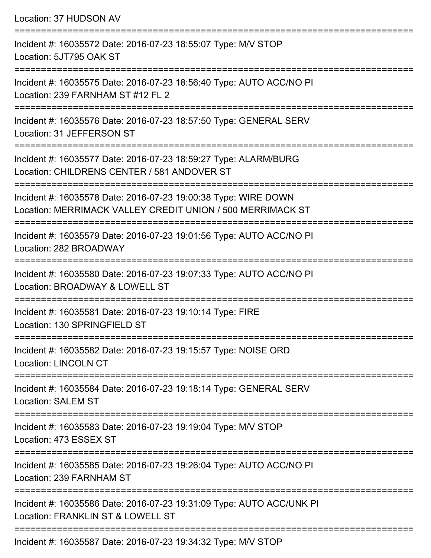| Location: 37 HUDSON AV                                                                                                       |
|------------------------------------------------------------------------------------------------------------------------------|
| Incident #: 16035572 Date: 2016-07-23 18:55:07 Type: M/V STOP<br>Location: 5JT795 OAK ST                                     |
| Incident #: 16035575 Date: 2016-07-23 18:56:40 Type: AUTO ACC/NO PI<br>Location: 239 FARNHAM ST #12 FL 2                     |
| Incident #: 16035576 Date: 2016-07-23 18:57:50 Type: GENERAL SERV<br>Location: 31 JEFFERSON ST                               |
| Incident #: 16035577 Date: 2016-07-23 18:59:27 Type: ALARM/BURG<br>Location: CHILDRENS CENTER / 581 ANDOVER ST               |
| Incident #: 16035578 Date: 2016-07-23 19:00:38 Type: WIRE DOWN<br>Location: MERRIMACK VALLEY CREDIT UNION / 500 MERRIMACK ST |
| ==========================<br>Incident #: 16035579 Date: 2016-07-23 19:01:56 Type: AUTO ACC/NO PI<br>Location: 282 BROADWAY  |
| Incident #: 16035580 Date: 2016-07-23 19:07:33 Type: AUTO ACC/NO PI<br>Location: BROADWAY & LOWELL ST                        |
| Incident #: 16035581 Date: 2016-07-23 19:10:14 Type: FIRE<br>Location: 130 SPRINGFIELD ST                                    |
| Incident #: 16035582 Date: 2016-07-23 19:15:57 Type: NOISE ORD<br><b>Location: LINCOLN CT</b>                                |
| Incident #: 16035584 Date: 2016-07-23 19:18:14 Type: GENERAL SERV<br><b>Location: SALEM ST</b>                               |
| Incident #: 16035583 Date: 2016-07-23 19:19:04 Type: M/V STOP<br>Location: 473 ESSEX ST                                      |
| Incident #: 16035585 Date: 2016-07-23 19:26:04 Type: AUTO ACC/NO PI<br>Location: 239 FARNHAM ST                              |
| Incident #: 16035586 Date: 2016-07-23 19:31:09 Type: AUTO ACC/UNK PI<br>Location: FRANKLIN ST & LOWELL ST                    |
| $Inoidont #: 16025597 Data: 2016.07.22.10:21:22.51, max: NAY; CTOP$                                                          |

Incident #: 16035587 Date: 2016-07-23 19:34:32 Type: M/V STOP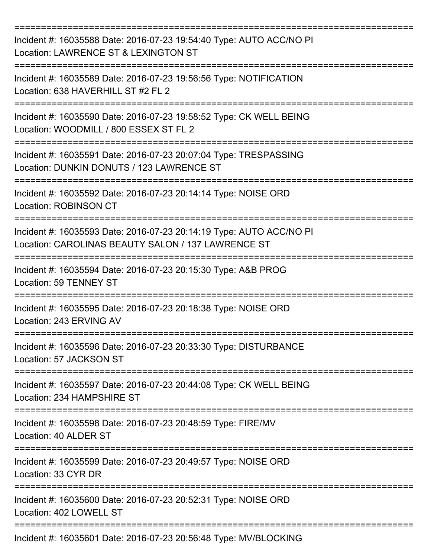| Incident #: 16035588 Date: 2016-07-23 19:54:40 Type: AUTO ACC/NO PI<br>Location: LAWRENCE ST & LEXINGTON ST<br>----------------- |
|----------------------------------------------------------------------------------------------------------------------------------|
| Incident #: 16035589 Date: 2016-07-23 19:56:56 Type: NOTIFICATION<br>Location: 638 HAVERHILL ST #2 FL 2                          |
| Incident #: 16035590 Date: 2016-07-23 19:58:52 Type: CK WELL BEING<br>Location: WOODMILL / 800 ESSEX ST FL 2                     |
| Incident #: 16035591 Date: 2016-07-23 20:07:04 Type: TRESPASSING<br>Location: DUNKIN DONUTS / 123 LAWRENCE ST                    |
| Incident #: 16035592 Date: 2016-07-23 20:14:14 Type: NOISE ORD<br><b>Location: ROBINSON CT</b>                                   |
| Incident #: 16035593 Date: 2016-07-23 20:14:19 Type: AUTO ACC/NO PI<br>Location: CAROLINAS BEAUTY SALON / 137 LAWRENCE ST        |
| Incident #: 16035594 Date: 2016-07-23 20:15:30 Type: A&B PROG<br>Location: 59 TENNEY ST                                          |
| Incident #: 16035595 Date: 2016-07-23 20:18:38 Type: NOISE ORD<br>Location: 243 ERVING AV                                        |
| Incident #: 16035596 Date: 2016-07-23 20:33:30 Type: DISTURBANCE<br>Location: 57 JACKSON ST                                      |
| Incident #: 16035597 Date: 2016-07-23 20:44:08 Type: CK WELL BEING<br>Location: 234 HAMPSHIRE ST                                 |
| Incident #: 16035598 Date: 2016-07-23 20:48:59 Type: FIRE/MV<br>Location: 40 ALDER ST                                            |
| Incident #: 16035599 Date: 2016-07-23 20:49:57 Type: NOISE ORD<br>Location: 33 CYR DR                                            |
| Incident #: 16035600 Date: 2016-07-23 20:52:31 Type: NOISE ORD<br>Location: 402 LOWELL ST                                        |
| Incident #: 16035601 Date: 2016-07-23 20:56:48 Type: MV/BLOCKING                                                                 |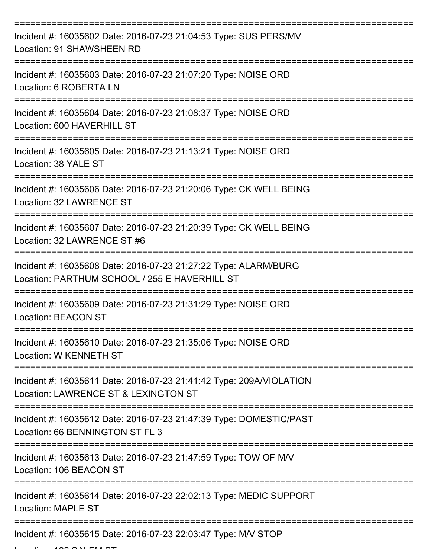| Incident #: 16035602 Date: 2016-07-23 21:04:53 Type: SUS PERS/MV<br>Location: 91 SHAWSHEEN RD                    |
|------------------------------------------------------------------------------------------------------------------|
| Incident #: 16035603 Date: 2016-07-23 21:07:20 Type: NOISE ORD<br>Location: 6 ROBERTA LN                         |
| Incident #: 16035604 Date: 2016-07-23 21:08:37 Type: NOISE ORD<br>Location: 600 HAVERHILL ST                     |
| Incident #: 16035605 Date: 2016-07-23 21:13:21 Type: NOISE ORD<br>Location: 38 YALE ST                           |
| Incident #: 16035606 Date: 2016-07-23 21:20:06 Type: CK WELL BEING<br>Location: 32 LAWRENCE ST                   |
| Incident #: 16035607 Date: 2016-07-23 21:20:39 Type: CK WELL BEING<br>Location: 32 LAWRENCE ST #6                |
| Incident #: 16035608 Date: 2016-07-23 21:27:22 Type: ALARM/BURG<br>Location: PARTHUM SCHOOL / 255 E HAVERHILL ST |
| Incident #: 16035609 Date: 2016-07-23 21:31:29 Type: NOISE ORD<br><b>Location: BEACON ST</b>                     |
| Incident #: 16035610 Date: 2016-07-23 21:35:06 Type: NOISE ORD<br>Location: W KENNETH ST                         |
| Incident #: 16035611 Date: 2016-07-23 21:41:42 Type: 209A/VIOLATION<br>Location: LAWRENCE ST & LEXINGTON ST      |
| Incident #: 16035612 Date: 2016-07-23 21:47:39 Type: DOMESTIC/PAST<br>Location: 66 BENNINGTON ST FL 3            |
| Incident #: 16035613 Date: 2016-07-23 21:47:59 Type: TOW OF M/V<br>Location: 106 BEACON ST                       |
| Incident #: 16035614 Date: 2016-07-23 22:02:13 Type: MEDIC SUPPORT<br><b>Location: MAPLE ST</b>                  |
| Incident #: 16035615 Date: 2016-07-23 22:03:47 Type: M/V STOP                                                    |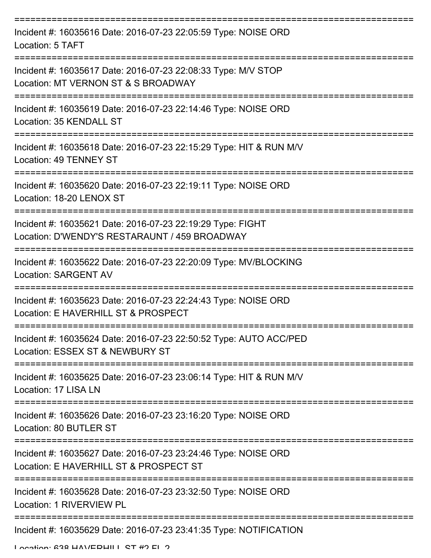| Incident #: 16035616 Date: 2016-07-23 22:05:59 Type: NOISE ORD<br>Location: 5 TAFT                          |
|-------------------------------------------------------------------------------------------------------------|
| Incident #: 16035617 Date: 2016-07-23 22:08:33 Type: M/V STOP<br>Location: MT VERNON ST & S BROADWAY        |
| Incident #: 16035619 Date: 2016-07-23 22:14:46 Type: NOISE ORD<br>Location: 35 KENDALL ST                   |
| Incident #: 16035618 Date: 2016-07-23 22:15:29 Type: HIT & RUN M/V<br>Location: 49 TENNEY ST                |
| Incident #: 16035620 Date: 2016-07-23 22:19:11 Type: NOISE ORD<br>Location: 18-20 LENOX ST                  |
| Incident #: 16035621 Date: 2016-07-23 22:19:29 Type: FIGHT<br>Location: D'WENDY'S RESTARAUNT / 459 BROADWAY |
| Incident #: 16035622 Date: 2016-07-23 22:20:09 Type: MV/BLOCKING<br><b>Location: SARGENT AV</b>             |
| Incident #: 16035623 Date: 2016-07-23 22:24:43 Type: NOISE ORD<br>Location: E HAVERHILL ST & PROSPECT       |
| Incident #: 16035624 Date: 2016-07-23 22:50:52 Type: AUTO ACC/PED<br>Location: ESSEX ST & NEWBURY ST        |
| Incident #: 16035625 Date: 2016-07-23 23:06:14 Type: HIT & RUN M/V<br>Location: 17 LISA LN                  |
| Incident #: 16035626 Date: 2016-07-23 23:16:20 Type: NOISE ORD<br>Location: 80 BUTLER ST                    |
| Incident #: 16035627 Date: 2016-07-23 23:24:46 Type: NOISE ORD<br>Location: E HAVERHILL ST & PROSPECT ST    |
| Incident #: 16035628 Date: 2016-07-23 23:32:50 Type: NOISE ORD<br>Location: 1 RIVERVIEW PL                  |
| Incident #: 16035629 Date: 2016-07-23 23:41:35 Type: NOTIFICATION                                           |

Location: 638 HAVEDHILL ST #2 FL 2